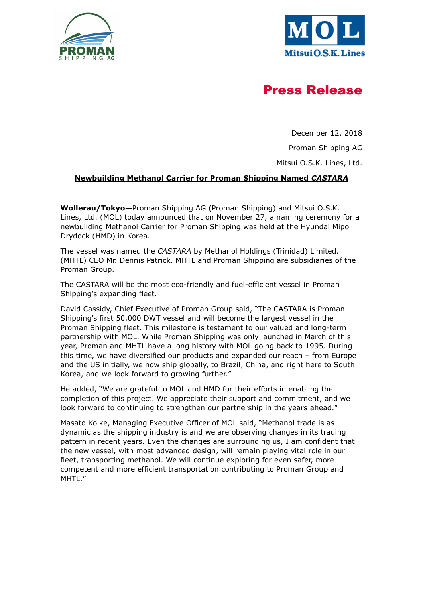



# Press Release

December 12, 2018

Proman Shipping AG

Mitsui O.S.K. Lines, Ltd.

## Newbuilding Methanol Carrier for Proman Shipping Named CASTARA

Wollerau/Tokyo-Proman Shipping AG (Proman Shipping) and Mitsui O.S.K. Lines, Ltd. (MOL) today announced that on November 27, a naming ceremony for a newbuilding Methanol Carrier for Proman Shipping was held at the Hyundai Mipo Drydock (HMD) in Korea.

The vessel was named the CASTARA by Methanol Holdings (Trinidad) Limited. (MHTL) CEO Mr. Dennis Patrick. MHTL and Proman Shipping are subsidiaries of the Proman Group.

The CASTARA will be the most eco-friendly and fuel-efficient vessel in Proman Shipping's expanding fleet.

David Cassidy, Chief Executive of Proman Group said, "The CASTARA is Proman Shipping's first 50,000 DWT vessel and will become the largest vessel in the Proman Shipping fleet. This milestone is testament to our valued and long-term partnership with MOL. While Proman Shipping was only launched in March of this year, Proman and MHTL have a long history with MOL going back to 1995. During this time, we have diversified our products and expanded our reach – from Europe and the US initially, we now ship globally, to Brazil, China, and right here to South Korea, and we look forward to growing further."

He added, "We are grateful to MOL and HMD for their efforts in enabling the completion of this project. We appreciate their support and commitment, and we look forward to continuing to strengthen our partnership in the years ahead."

Masato Koike, Managing Executive Officer of MOL said, "Methanol trade is as dynamic as the shipping industry is and we are observing changes in its trading pattern in recent years. Even the changes are surrounding us, I am confident that the new vessel, with most advanced design, will remain playing vital role in our fleet, transporting methanol. We will continue exploring for even safer, more competent and more efficient transportation contributing to Proman Group and MHTL."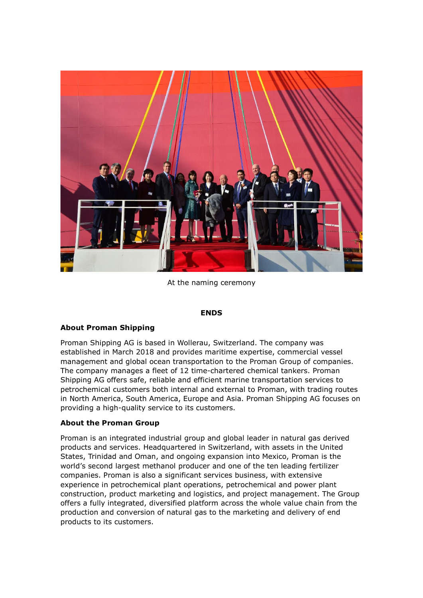

At the naming ceremony

#### ENDS

## About Proman Shipping

Proman Shipping AG is based in Wollerau, Switzerland. The company was established in March 2018 and provides maritime expertise, commercial vessel management and global ocean transportation to the Proman Group of companies. The company manages a fleet of 12 time-chartered chemical tankers. Proman Shipping AG offers safe, reliable and efficient marine transportation services to petrochemical customers both internal and external to Proman, with trading routes in North America, South America, Europe and Asia. Proman Shipping AG focuses on providing a high-quality service to its customers.

## About the Proman Group

Proman is an integrated industrial group and global leader in natural gas derived products and services. Headquartered in Switzerland, with assets in the United States, Trinidad and Oman, and ongoing expansion into Mexico, Proman is the world's second largest methanol producer and one of the ten leading fertilizer companies. Proman is also a significant services business, with extensive experience in petrochemical plant operations, petrochemical and power plant construction, product marketing and logistics, and project management. The Group offers a fully integrated, diversified platform across the whole value chain from the production and conversion of natural gas to the marketing and delivery of end products to its customers.